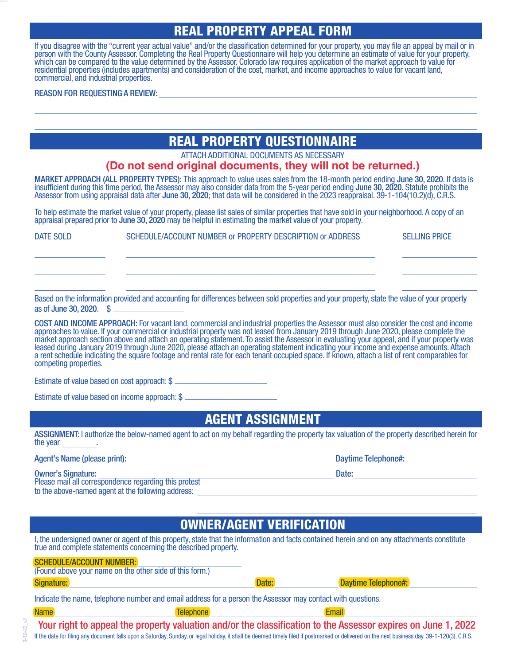# **REAL PROPERTY APPEAL FORM**

If you disagree with the "current year actual value" and/or the classification determined for your property, you may file an appeal by mail or in person with the County Assessor. Completing the Real Property Questionnaire will help you determine an estimate of value for your property, which can be compared to the value determined by the Assessor. Colorado law requires application of the market approach to value for residential properties (includes apartments) and consideration of the cost, market, and income approaches to value for vacant land, commercial, and industrial properties.

#### REASON FOR REQUESTING A REVIEW:

# **REAL PROPERTY QUESTIONNAIRE**

ATTACH ADDITIONAL DOCUMENTS AS NECESSARY

#### **(Do not send original documents, they will not be returned.)**

MARKET APPROACH (ALL PROPERTY TYPES): This approach to value uses sales from the 18-month period ending June 30, 2020. If data is insufficient during this`time period, the Assessor may also consider data from the 5-year period ending June 30, 2020. Statute prohibits the Assessor from using appraisal data after June 30, 2020; that data will be considered in the 2023 reappraisal. 39-1-104(10.2)(d), C.R.S.

To help estimate the market value of your property, please list sales of similar properties that have sold in your neighborhood. A copy of an appraisal prepared prior to June 30, 2020 may be helpful in estimating the market value of your property.

DATE SOLD SCHEDULE/ACCOUNT NUMBER or PROPERTY DESCRIPTION or ADDRESS SELLING PRICE

Based on the information provided and accounting for differences between sold properties and your property, state the value of your property as of June 30, 2020. \$

COST AND INCOME APPROACH: For vacant land, commercial and industrial properties the Assessor must also consider the cost and income approaches to value. If your commercial or industrial property was not leased from January 2019 through June 2020, please complete the market approach section above and attach an operating statement. To assist the Assessor in evaluating your appeal, and if your property was leased during January 2019 through June 2020, please attach an operating statement indicating your income and expense amounts. Attach a rent schedule indicating the square footage and rental rate for each tenant occupied space. If known, attach a list of rent comparables for competing properties.

Estimate of value based on cost approach: \$

Estimate of value based on income approach: \$

### **AGENT ASSIGNMENT**

ASSIGNMENT: I authorize the below-named agent to act on my behalf regarding the property tax valuation of the property described herein for the year .

#### Agent's Name (please print): Daytime Telephone#:

#### Owner's Signature: Date:

Please mail all correspondence regarding this protest to the above-named agent at the following address:

# **OWNER/AGENT VERIFICATION**

I, the undersigned owner or agent of this property, state that the information and facts contained herein and on any attachments constitute true and complete statements concerning the described property.

| <b>SCHEDULE/ACCOUNT NUMBER:</b>                                                                             | (Found above your name on the other side of this form.) |       |                            |  |
|-------------------------------------------------------------------------------------------------------------|---------------------------------------------------------|-------|----------------------------|--|
| Signature:                                                                                                  |                                                         | Date: | <b>Daytime Telephone#:</b> |  |
| Indicate the name, telephone number and email address for a person the Assessor may contact with questions. |                                                         |       |                            |  |
| <b>Name</b>                                                                                                 | Telephone                                               |       | <b>Email</b>               |  |

If the date for filing any document falls upon a Saturday, Sunday, or legal holiday, it shall be deemed timely filed if postmarked or delivered on the next business day. 39-1-120(3), C.R.S. Your right to appeal the property valuation and/or the classification to the Assessor expires on June 1, 2022